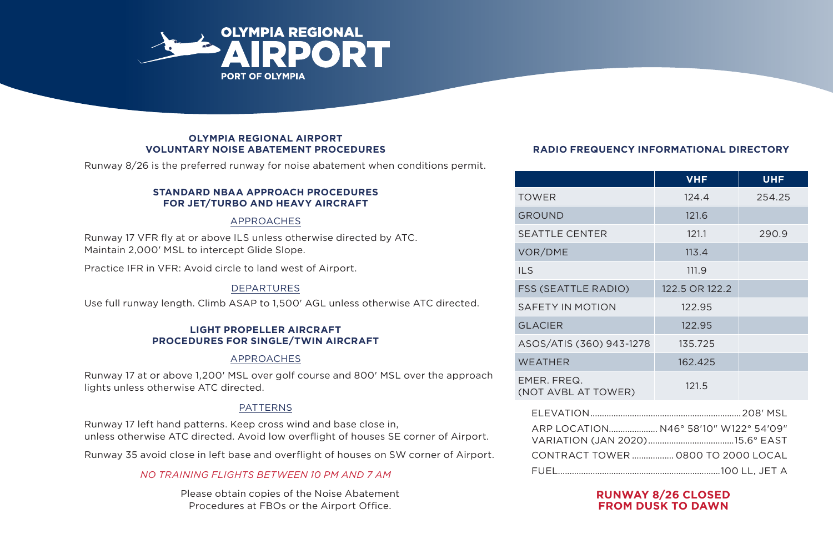

#### **OLYMPIA REGIONAL AIRPORT VOLUNTARY NOISE ABATEMENT PROCEDURES**

Runway 8/26 is the preferred runway for noise abatement when conditions permit.

#### **STANDARD NBAA APPROACH PROCEDURES FOR JET/TURBO AND HEAVY AIRCRAFT**

### APPROACHES

Runway 17 VFR fly at or above ILS unless otherwise directed by ATC. Maintain 2,000' MSL to intercept Glide Slope.

Practice IFR in VFR: Avoid circle to land west of Airport.

# DEPARTURES

Use full runway length. Climb ASAP to 1,500' AGL unless otherwise ATC directed.

#### **LIGHT PROPELLER AIRCRAFT PROCEDURES FOR SINGLE/TWIN AIRCRAFT**

### APPROACHES

Runway 17 at or above 1,200' MSL over golf course and 800' MSL over the approach lights unless otherwise ATC directed.

# PATTERNS

Runway 17 left hand patterns. Keep cross wind and base close in, unless otherwise ATC directed. Avoid low overflight of houses SE corner of Airport.

Runway 35 avoid close in left base and overflight of houses on SW corner of Airport.

## *NO TRAINING FLIGHTS BETWEEN 10 PM AND 7 AM*

Please obtain copies of the Noise Abatement Procedures at FBOs or the Airport Office.

# **RADIO FREQUENCY INFORMATIONAL DIRECTORY**

|                                       | <b>VHF</b>                         | <b>UHF</b> |
|---------------------------------------|------------------------------------|------------|
| <b>TOWER</b>                          | 124.4                              | 254.25     |
| <b>GROUND</b>                         | 121.6                              |            |
| <b>SEATTLE CENTER</b>                 | 121.1                              | 290.9      |
| VOR/DME                               | 113.4                              |            |
| <b>ILS</b>                            | 111.9                              |            |
| <b>FSS (SEATTLE RADIO)</b>            | 122.5 OR 122.2                     |            |
| SAFETY IN MOTION                      | 122.95                             |            |
| <b>GLACIER</b>                        | 122.95                             |            |
| ASOS/ATIS (360) 943-1278              | 135.725                            |            |
| <b>WEATHER</b>                        | 162.425                            |            |
| EMER, FREQ.<br>(NOT AVBL AT TOWER)    | 121.5                              |            |
| ARP LOCATION N46° 58'10" W122° 54'09" |                                    |            |
|                                       | CONTRACT TOWER  0800 TO 2000 LOCAL |            |
|                                       |                                    |            |

## **RUNWAY 8/26 CLOSED FROM DUSK TO DAWN**